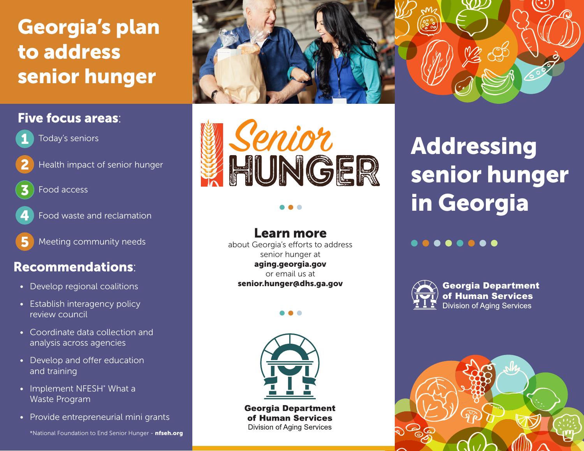## Georgia's plan to address senior hunger

## Five focus areas:



- Today's seniors
- 
- Health impact of senior hunger



Food access



- Food waste and reclamation
- 5 Meeting community needs

## Recommendations:

- Develop regional coalitions
- Establish interagency policy review council
- Coordinate data collection and analysis across agencies
- Develop and offer education and training
- Implement NFESH<sup>\*</sup> What a Waste Program
- Provide entrepreneurial mini grants



### Learn more

about Georgia's efforts to address senior hunger at aging.georgia.gov or email us at senior.hunger@dhs.ga.gov



**Georgia Department** of Human Services **Division of Aging Services** 

# Addressing senior hunger in Georgia

### ........



**Georgia Department** of Human Services **Division of Aging Services**